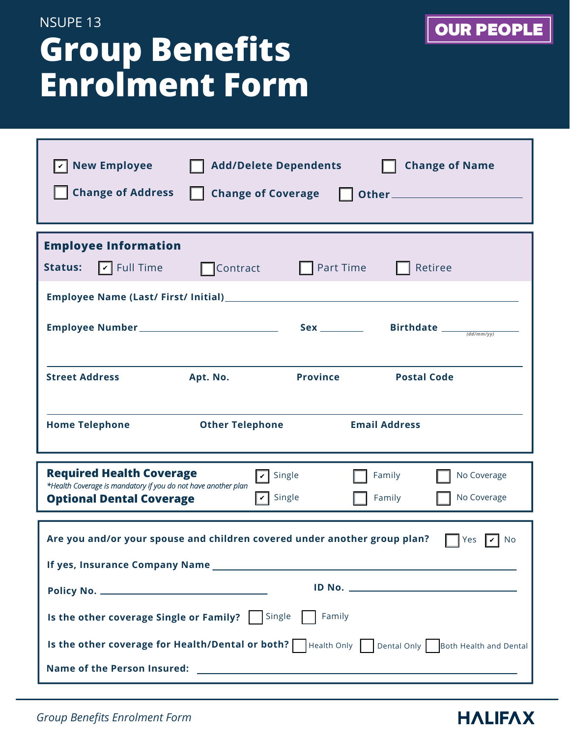# **Group Benefits Enrolment Form**  NSUPE 13

| <b>New Employee</b><br><b>Change of Name</b><br><b>Add/Delete Dependents</b><br><b>Change of Address</b><br><b>Change of Coverage</b>                                                                     |  |  |  |
|-----------------------------------------------------------------------------------------------------------------------------------------------------------------------------------------------------------|--|--|--|
| <b>Employee Information</b>                                                                                                                                                                               |  |  |  |
| $\boxed{\mathbf{v}}$ Full Time<br>Part Time<br>Retiree<br><b>Status:</b><br>$\Box$ Contract                                                                                                               |  |  |  |
|                                                                                                                                                                                                           |  |  |  |
| Sex _________ Birthdate $\frac{1}{(dd/mm/yy)}$                                                                                                                                                            |  |  |  |
| <b>Province</b><br><b>Street Address</b><br>Apt. No.<br><b>Postal Code</b>                                                                                                                                |  |  |  |
| <b>Email Address</b><br><b>Home Telephone</b><br><b>Other Telephone</b>                                                                                                                                   |  |  |  |
| <b>Required Health Coverage</b><br>Single<br>Family<br>No Coverage<br>*Health Coverage is mandatory if you do not have another plan<br>Single<br>No Coverage<br>Family<br><b>Optional Dental Coverage</b> |  |  |  |
| Are you and/or your spouse and children covered under another group plan?<br>Yes<br>No<br>If yes, Insurance Company Name                                                                                  |  |  |  |
|                                                                                                                                                                                                           |  |  |  |
| Is the other coverage Single or Family?   Single<br>Family                                                                                                                                                |  |  |  |
| Is the other coverage for Health/Dental or both?   Health Only   Dental Only   Both Health and Dental                                                                                                     |  |  |  |
| <b>Name of the Person Insured:</b><br><u> 1980 - Jan Barat, margaret eta idazlea (h. 1980).</u>                                                                                                           |  |  |  |

*Group Benefits Enrolment Form*

### **HALIFAX**